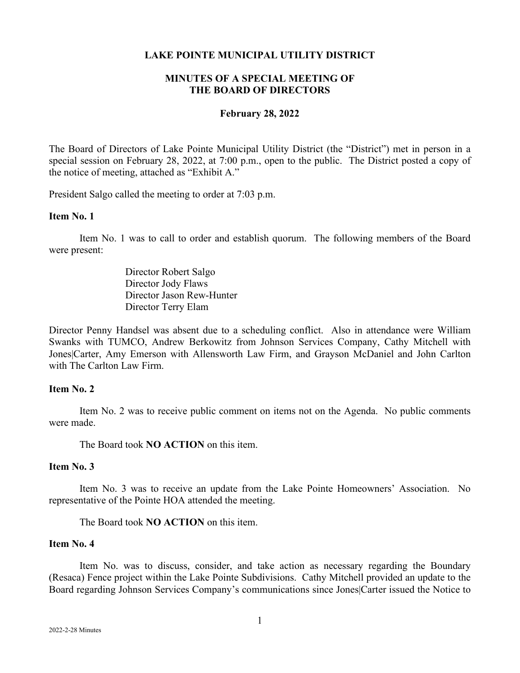### **LAKE POINTE MUNICIPAL UTILITY DISTRICT**

# **MINUTES OF A SPECIAL MEETING OF THE BOARD OF DIRECTORS**

### **February 28, 2022**

The Board of Directors of Lake Pointe Municipal Utility District (the "District") met in person in a special session on February 28, 2022, at 7:00 p.m., open to the public. The District posted a copy of the notice of meeting, attached as "Exhibit A."

President Salgo called the meeting to order at 7:03 p.m.

### **Item No. 1**

Item No. 1 was to call to order and establish quorum. The following members of the Board were present:

> Director Robert Salgo Director Jody Flaws Director Jason Rew-Hunter Director Terry Elam

Director Penny Handsel was absent due to a scheduling conflict. Also in attendance were William Swanks with TUMCO, Andrew Berkowitz from Johnson Services Company, Cathy Mitchell with Jones|Carter, Amy Emerson with Allensworth Law Firm, and Grayson McDaniel and John Carlton with The Carlton Law Firm.

## **Item No. 2**

Item No. 2 was to receive public comment on items not on the Agenda. No public comments were made.

The Board took **NO ACTION** on this item.

### **Item No. 3**

Item No. 3 was to receive an update from the Lake Pointe Homeowners' Association. No representative of the Pointe HOA attended the meeting.

The Board took **NO ACTION** on this item.

# **Item No. 4**

Item No. was to discuss, consider, and take action as necessary regarding the Boundary (Resaca) Fence project within the Lake Pointe Subdivisions. Cathy Mitchell provided an update to the Board regarding Johnson Services Company's communications since Jones|Carter issued the Notice to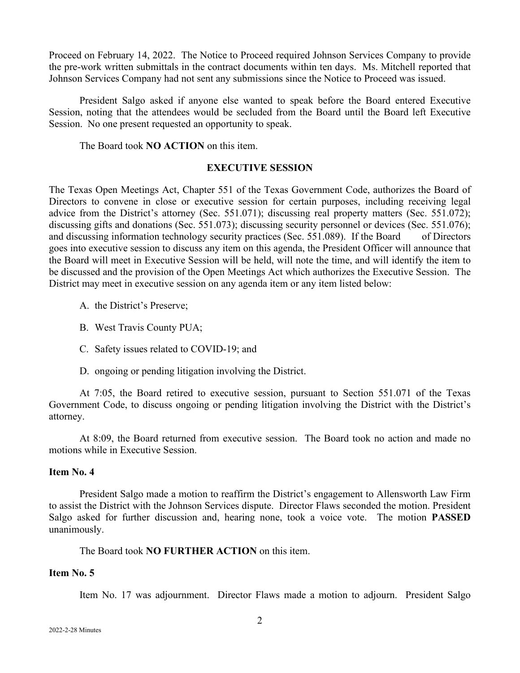Proceed on February 14, 2022. The Notice to Proceed required Johnson Services Company to provide the pre-work written submittals in the contract documents within ten days. Ms. Mitchell reported that Johnson Services Company had not sent any submissions since the Notice to Proceed was issued.

President Salgo asked if anyone else wanted to speak before the Board entered Executive Session, noting that the attendees would be secluded from the Board until the Board left Executive Session. No one present requested an opportunity to speak.

The Board took **NO ACTION** on this item.

#### **EXECUTIVE SESSION**

The Texas Open Meetings Act, Chapter 551 of the Texas Government Code, authorizes the Board of Directors to convene in close or executive session for certain purposes, including receiving legal advice from the District's attorney (Sec. 551.071); discussing real property matters (Sec. 551.072); discussing gifts and donations (Sec. 551.073); discussing security personnel or devices (Sec. 551.076); and discussing information technology security practices (Sec. 551.089). If the Board of Directors goes into executive session to discuss any item on this agenda, the President Officer will announce that the Board will meet in Executive Session will be held, will note the time, and will identify the item to be discussed and the provision of the Open Meetings Act which authorizes the Executive Session. The District may meet in executive session on any agenda item or any item listed below:

- A. the District's Preserve;
- B. West Travis County PUA;
- C. Safety issues related to COVID-19; and
- D. ongoing or pending litigation involving the District.

At 7:05, the Board retired to executive session, pursuant to Section 551.071 of the Texas Government Code, to discuss ongoing or pending litigation involving the District with the District's attorney.

At 8:09, the Board returned from executive session. The Board took no action and made no motions while in Executive Session.

## **Item No. 4**

President Salgo made a motion to reaffirm the District's engagement to Allensworth Law Firm to assist the District with the Johnson Services dispute. Director Flaws seconded the motion. President Salgo asked for further discussion and, hearing none, took a voice vote. The motion **PASSED** unanimously.

The Board took **NO FURTHER ACTION** on this item.

### **Item No. 5**

Item No. 17 was adjournment. Director Flaws made a motion to adjourn. President Salgo